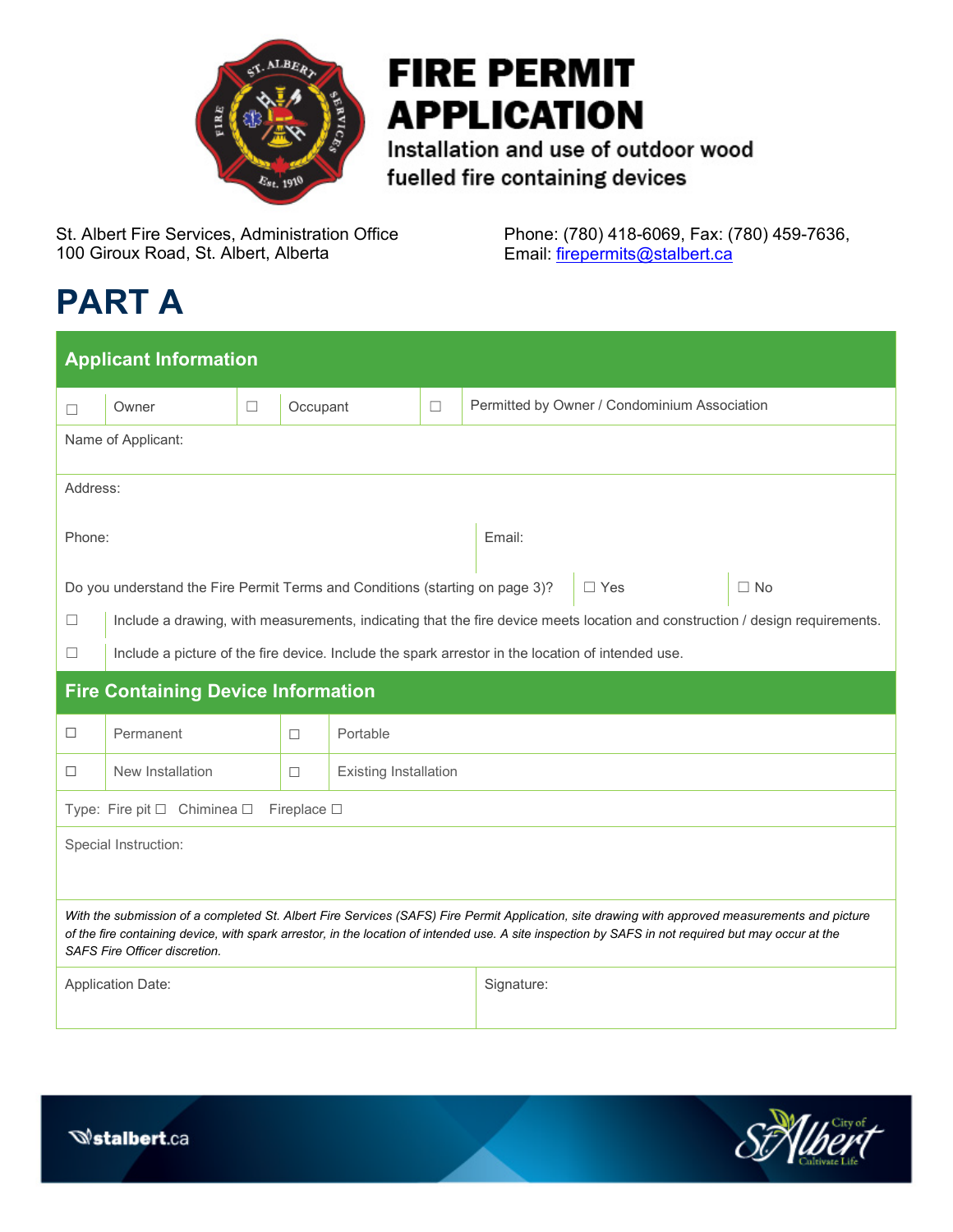

# **FIRE PERMIT APPLICATION**

Installation and use of outdoor wood fuelled fire containing devices

St. Albert Fire Services, Administration Office 100 Giroux Road, St. Albert, Alberta

Phone: (780) 418-6069, Fax: (780) 459-7636, Email: [firepermits@stalbert.ca](mailto:firepermits@stalbert.ca)

# **PART A**

| <b>Applicant Information</b>                                                                                                                                                                                                                                                                                                                   |                                                                                                                              |        |          |                              |            |                                              |  |  |  |  |
|------------------------------------------------------------------------------------------------------------------------------------------------------------------------------------------------------------------------------------------------------------------------------------------------------------------------------------------------|------------------------------------------------------------------------------------------------------------------------------|--------|----------|------------------------------|------------|----------------------------------------------|--|--|--|--|
| П                                                                                                                                                                                                                                                                                                                                              | Owner                                                                                                                        | $\Box$ | Occupant |                              | $\Box$     | Permitted by Owner / Condominium Association |  |  |  |  |
| Name of Applicant:                                                                                                                                                                                                                                                                                                                             |                                                                                                                              |        |          |                              |            |                                              |  |  |  |  |
| Address:                                                                                                                                                                                                                                                                                                                                       |                                                                                                                              |        |          |                              |            |                                              |  |  |  |  |
| Phone:                                                                                                                                                                                                                                                                                                                                         |                                                                                                                              |        |          |                              |            | Email:                                       |  |  |  |  |
| Do you understand the Fire Permit Terms and Conditions (starting on page 3)?<br>$\Box$ Yes<br>$\Box$ No                                                                                                                                                                                                                                        |                                                                                                                              |        |          |                              |            |                                              |  |  |  |  |
| $\Box$                                                                                                                                                                                                                                                                                                                                         | Include a drawing, with measurements, indicating that the fire device meets location and construction / design requirements. |        |          |                              |            |                                              |  |  |  |  |
| □                                                                                                                                                                                                                                                                                                                                              | Include a picture of the fire device. Include the spark arrestor in the location of intended use.                            |        |          |                              |            |                                              |  |  |  |  |
| <b>Fire Containing Device Information</b>                                                                                                                                                                                                                                                                                                      |                                                                                                                              |        |          |                              |            |                                              |  |  |  |  |
| □                                                                                                                                                                                                                                                                                                                                              | Permanent                                                                                                                    |        | $\Box$   | Portable                     |            |                                              |  |  |  |  |
| □                                                                                                                                                                                                                                                                                                                                              | New Installation                                                                                                             |        | $\Box$   | <b>Existing Installation</b> |            |                                              |  |  |  |  |
| Type: Fire pit □ Chiminea □<br>Fireplace $\square$                                                                                                                                                                                                                                                                                             |                                                                                                                              |        |          |                              |            |                                              |  |  |  |  |
| Special Instruction:                                                                                                                                                                                                                                                                                                                           |                                                                                                                              |        |          |                              |            |                                              |  |  |  |  |
|                                                                                                                                                                                                                                                                                                                                                |                                                                                                                              |        |          |                              |            |                                              |  |  |  |  |
| With the submission of a completed St. Albert Fire Services (SAFS) Fire Permit Application, site drawing with approved measurements and picture<br>of the fire containing device, with spark arrestor, in the location of intended use. A site inspection by SAFS in not required but may occur at the<br><b>SAFS Fire Officer discretion.</b> |                                                                                                                              |        |          |                              |            |                                              |  |  |  |  |
| <b>Application Date:</b>                                                                                                                                                                                                                                                                                                                       |                                                                                                                              |        |          |                              | Signature: |                                              |  |  |  |  |

Updated January 2022

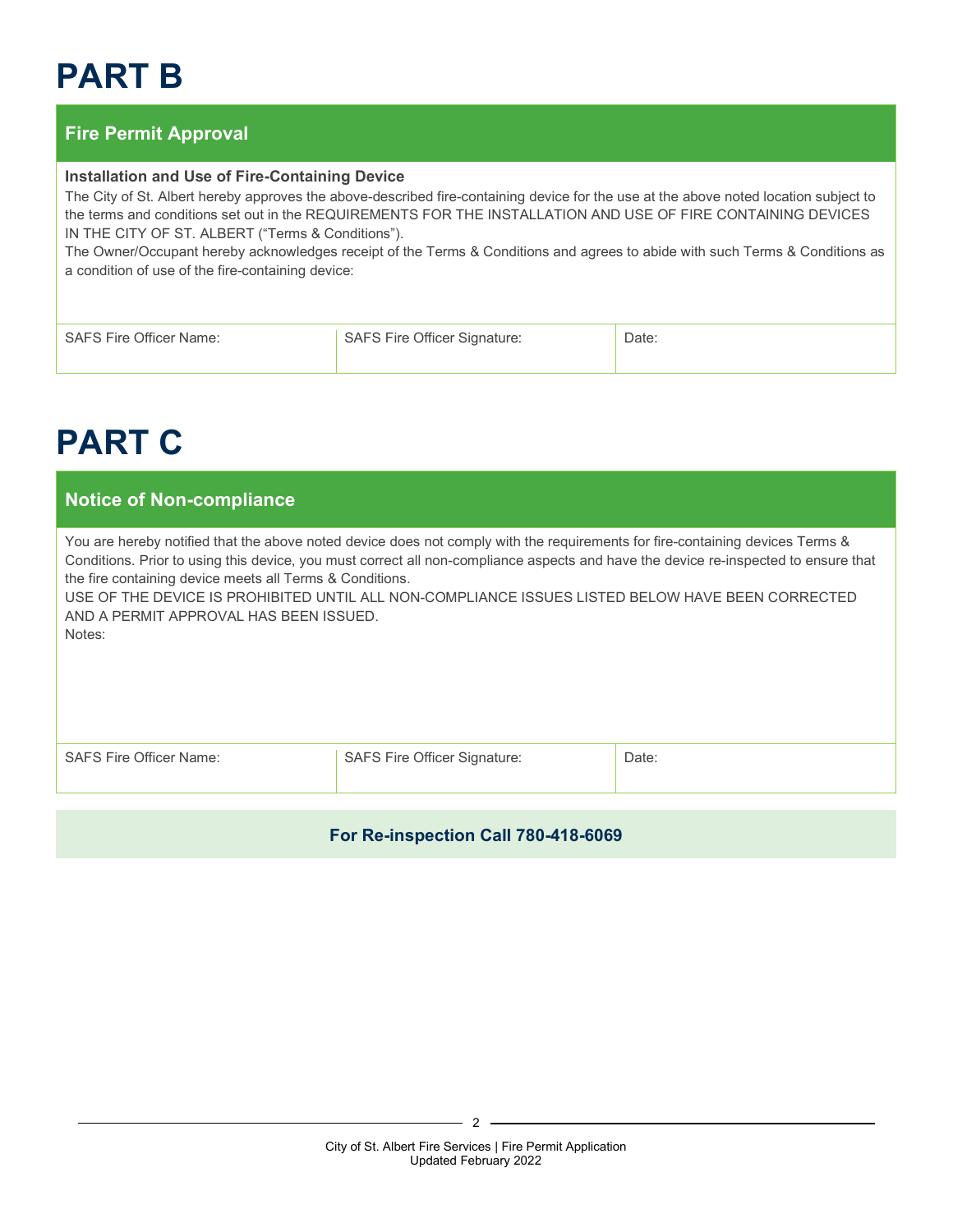# **PART B**

### **Fire Permit Approval**

#### **Installation and Use of Fire-Containing Device**

The City of St. Albert hereby approves the above-described fire-containing device for the use at the above noted location subject to the terms and conditions set out in the REQUIREMENTS FOR THE INSTALLATION AND USE OF FIRE CONTAINING DEVICES IN THE CITY OF ST. ALBERT ("Terms & Conditions").

The Owner/Occupant hereby acknowledges receipt of the Terms & Conditions and agrees to abide with such Terms & Conditions as a condition of use of the fire-containing device:

| SAFS Fire Officer Name: | <b>SAFS Fire Officer Signature:</b> | วate: |
|-------------------------|-------------------------------------|-------|
|                         |                                     |       |

## **PART C**

### **Notice of Non-compliance**

You are hereby notified that the above noted device does not comply with the requirements for fire-containing devices Terms & Conditions. Prior to using this device, you must correct all non-compliance aspects and have the device re-inspected to ensure that the fire containing device meets all Terms & Conditions.

USE OF THE DEVICE IS PROHIBITED UNTIL ALL NON-COMPLIANCE ISSUES LISTED BELOW HAVE BEEN CORRECTED AND A PERMIT APPROVAL HAS BEEN ISSUED.

Notes:

| SAFS Fire Officer Name: |  |
|-------------------------|--|
|-------------------------|--|

SAFS Fire Officer Signature: <br> Date:

#### **For Re-inspection Call 780-418-6069**

 $\mathfrak{p}$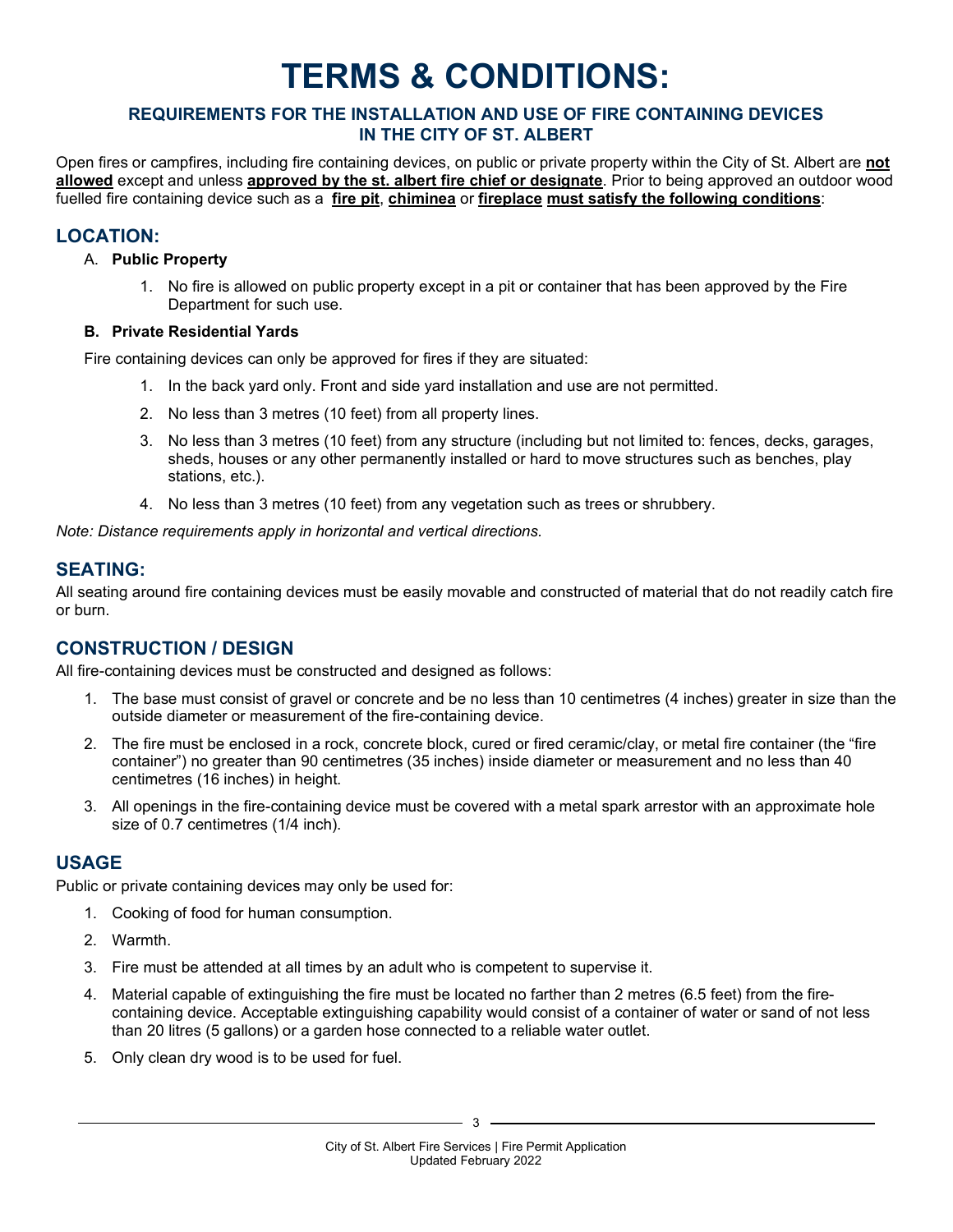## **TERMS & CONDITIONS:**

#### **REQUIREMENTS FOR THE INSTALLATION AND USE OF FIRE CONTAINING DEVICES IN THE CITY OF ST. ALBERT**

Open fires or campfires, including fire containing devices, on public or private property within the City of St. Albert are **not allowed** except and unless **approved by the st. albert fire chief or designate**. Prior to being approved an outdoor wood fuelled fire containing device such as a **fire pit**, **chiminea** or **fireplace must satisfy the following conditions**:

#### **LOCATION:**

#### A. **Public Property**

1. No fire is allowed on public property except in a pit or container that has been approved by the Fire Department for such use.

#### **B. Private Residential Yards**

Fire containing devices can only be approved for fires if they are situated:

- 1. In the back yard only. Front and side yard installation and use are not permitted.
- 2. No less than 3 metres (10 feet) from all property lines.
- 3. No less than 3 metres (10 feet) from any structure (including but not limited to: fences, decks, garages, sheds, houses or any other permanently installed or hard to move structures such as benches, play stations, etc.).
- 4. No less than 3 metres (10 feet) from any vegetation such as trees or shrubbery.

*Note: Distance requirements apply in horizontal and vertical directions.*

#### **SEATING:**

All seating around fire containing devices must be easily movable and constructed of material that do not readily catch fire or burn.

### **CONSTRUCTION / DESIGN**

All fire-containing devices must be constructed and designed as follows:

- 1. The base must consist of gravel or concrete and be no less than 10 centimetres (4 inches) greater in size than the outside diameter or measurement of the fire-containing device.
- 2. The fire must be enclosed in a rock, concrete block, cured or fired ceramic/clay, or metal fire container (the "fire container") no greater than 90 centimetres (35 inches) inside diameter or measurement and no less than 40 centimetres (16 inches) in height.
- 3. All openings in the fire-containing device must be covered with a metal spark arrestor with an approximate hole size of 0.7 centimetres (1/4 inch).

### **USAGE**

Public or private containing devices may only be used for:

- 1. Cooking of food for human consumption.
- 2. Warmth.
- 3. Fire must be attended at all times by an adult who is competent to supervise it.
- 4. Material capable of extinguishing the fire must be located no farther than 2 metres (6.5 feet) from the firecontaining device. Acceptable extinguishing capability would consist of a container of water or sand of not less than 20 litres (5 gallons) or a garden hose connected to a reliable water outlet.
- 5. Only clean dry wood is to be used for fuel.